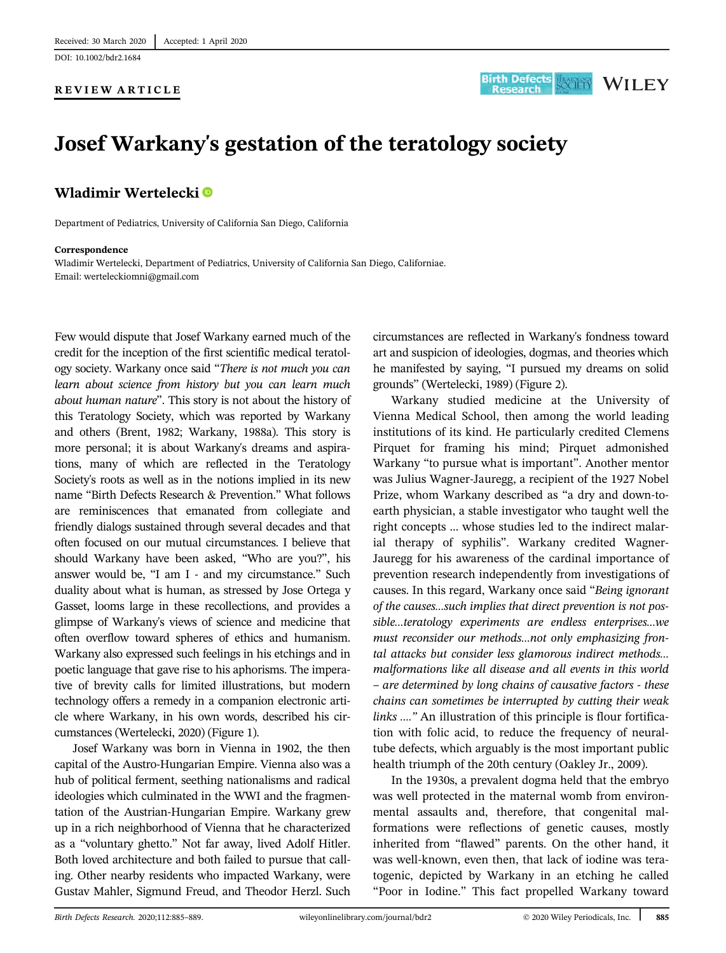DOI: 10.1002/bdr2.1684

## REVIEW ARTICLE



# Josef Warkany's gestation of the teratology society

# Wladimir Wertelecki<sup>®</sup>

Department of Pediatrics, University of California San Diego, California

#### Correspondence

Wladimir Wertelecki, Department of Pediatrics, University of California San Diego, Californiae. Email: [werteleckiomni@gmail.com](mailto:werteleckiomni@gmail.com)

Few would dispute that Josef Warkany earned much of the credit for the inception of the first scientific medical teratology society. Warkany once said "There is not much you can learn about science from history but you can learn much about human nature". This story is not about the history of this Teratology Society, which was reported by Warkany and others (Brent, 1982; Warkany, 1988a). This story is more personal; it is about Warkany's dreams and aspirations, many of which are reflected in the Teratology Society's roots as well as in the notions implied in its new name "Birth Defects Research & Prevention." What follows are reminiscences that emanated from collegiate and friendly dialogs sustained through several decades and that often focused on our mutual circumstances. I believe that should Warkany have been asked, "Who are you?", his answer would be, "I am I - and my circumstance." Such duality about what is human, as stressed by Jose Ortega y Gasset, looms large in these recollections, and provides a glimpse of Warkany's views of science and medicine that often overflow toward spheres of ethics and humanism. Warkany also expressed such feelings in his etchings and in poetic language that gave rise to his aphorisms. The imperative of brevity calls for limited illustrations, but modern technology offers a remedy in a companion electronic article where Warkany, in his own words, described his circumstances (Wertelecki, 2020) (Figure 1).

Josef Warkany was born in Vienna in 1902, the then capital of the Austro-Hungarian Empire. Vienna also was a hub of political ferment, seething nationalisms and radical ideologies which culminated in the WWI and the fragmentation of the Austrian-Hungarian Empire. Warkany grew up in a rich neighborhood of Vienna that he characterized as a "voluntary ghetto." Not far away, lived Adolf Hitler. Both loved architecture and both failed to pursue that calling. Other nearby residents who impacted Warkany, were Gustav Mahler, Sigmund Freud, and Theodor Herzl. Such circumstances are reflected in Warkany's fondness toward art and suspicion of ideologies, dogmas, and theories which he manifested by saying, "I pursued my dreams on solid grounds" (Wertelecki, 1989) (Figure 2).

Warkany studied medicine at the University of Vienna Medical School, then among the world leading institutions of its kind. He particularly credited Clemens Pirquet for framing his mind; Pirquet admonished Warkany "to pursue what is important". Another mentor was Julius Wagner-Jauregg, a recipient of the 1927 Nobel Prize, whom Warkany described as "a dry and down-toearth physician, a stable investigator who taught well the right concepts … whose studies led to the indirect malarial therapy of syphilis". Warkany credited Wagner-Jauregg for his awareness of the cardinal importance of prevention research independently from investigations of causes. In this regard, Warkany once said "Being ignorant of the causes…such implies that direct prevention is not possible…teratology experiments are endless enterprises…we must reconsider our methods…not only emphasizing frontal attacks but consider less glamorous indirect methods… malformations like all disease and all events in this world – are determined by long chains of causative factors - these chains can sometimes be interrupted by cutting their weak links …." An illustration of this principle is flour fortification with folic acid, to reduce the frequency of neuraltube defects, which arguably is the most important public health triumph of the 20th century (Oakley Jr., 2009).

In the 1930s, a prevalent dogma held that the embryo was well protected in the maternal womb from environmental assaults and, therefore, that congenital malformations were reflections of genetic causes, mostly inherited from "flawed" parents. On the other hand, it was well-known, even then, that lack of iodine was teratogenic, depicted by Warkany in an etching he called "Poor in Iodine." This fact propelled Warkany toward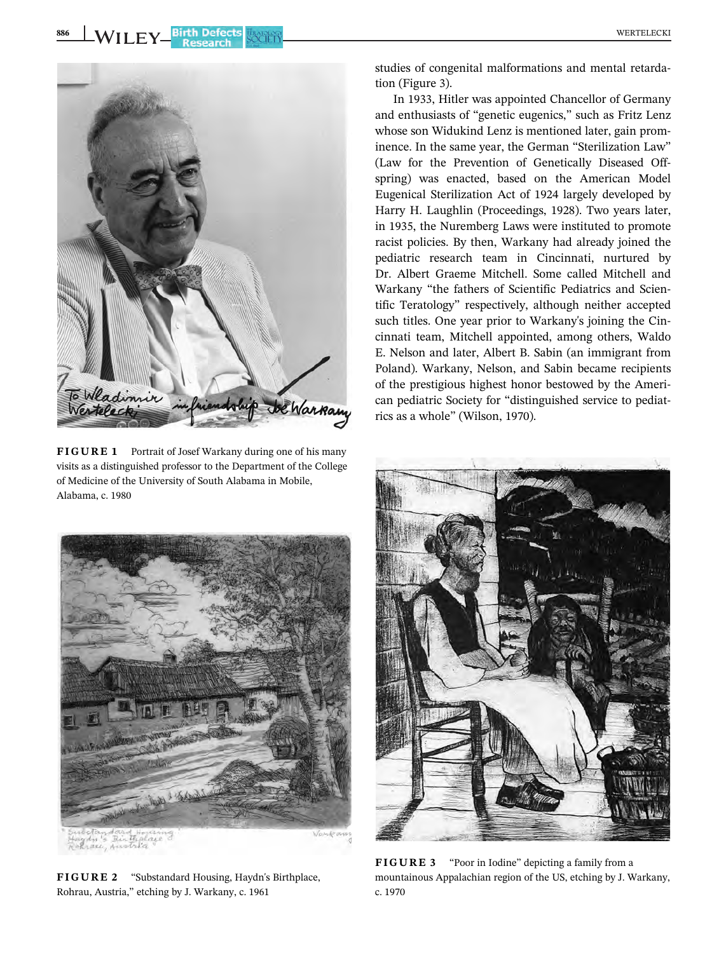

FIGURE 1 Portrait of Josef Warkany during one of his many visits as a distinguished professor to the Department of the College of Medicine of the University of South Alabama in Mobile, Alabama, c. 1980



In 1933, Hitler was appointed Chancellor of Germany and enthusiasts of "genetic eugenics," such as Fritz Lenz whose son Widukind Lenz is mentioned later, gain prominence. In the same year, the German "Sterilization Law" (Law for the Prevention of Genetically Diseased Offspring) was enacted, based on the American Model Eugenical Sterilization Act of 1924 largely developed by Harry H. Laughlin (Proceedings, 1928). Two years later, in 1935, the Nuremberg Laws were instituted to promote racist policies. By then, Warkany had already joined the pediatric research team in Cincinnati, nurtured by Dr. Albert Graeme Mitchell. Some called Mitchell and Warkany "the fathers of Scientific Pediatrics and Scientific Teratology" respectively, although neither accepted such titles. One year prior to Warkany's joining the Cincinnati team, Mitchell appointed, among others, Waldo E. Nelson and later, Albert B. Sabin (an immigrant from Poland). Warkany, Nelson, and Sabin became recipients of the prestigious highest honor bestowed by the American pediatric Society for "distinguished service to pediatrics as a whole" (Wilson, 1970).



FIGURE 2 "Substandard Housing, Haydn's Birthplace, Rohrau, Austria," etching by J. Warkany, c. 1961



FIGURE 3 "Poor in Iodine" depicting a family from a mountainous Appalachian region of the US, etching by J. Warkany, c. 1970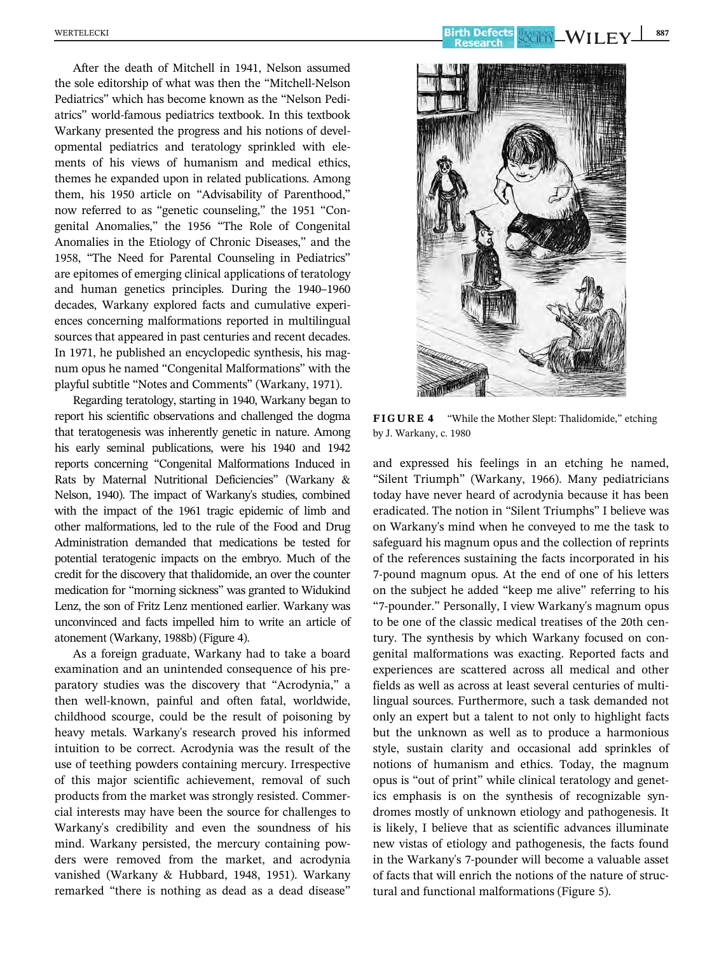After the death of Mitchell in 1941, Nelson assumed the sole editorship of what was then the "Mitchell-Nelson Pediatrics" which has become known as the "Nelson Pediatrics" world-famous pediatrics textbook. In this textbook Warkany presented the progress and his notions of developmental pediatrics and teratology sprinkled with elements of his views of humanism and medical ethics, themes he expanded upon in related publications. Among them, his 1950 article on "Advisability of Parenthood," now referred to as "genetic counseling," the 1951 "Congenital Anomalies," the 1956 "The Role of Congenital Anomalies in the Etiology of Chronic Diseases," and the 1958, "The Need for Parental Counseling in Pediatrics" are epitomes of emerging clinical applications of teratology and human genetics principles. During the 1940–1960 decades, Warkany explored facts and cumulative experiences concerning malformations reported in multilingual sources that appeared in past centuries and recent decades. In 1971, he published an encyclopedic synthesis, his magnum opus he named "Congenital Malformations" with the playful subtitle "Notes and Comments" (Warkany, 1971).

Regarding teratology, starting in 1940, Warkany began to report his scientific observations and challenged the dogma that teratogenesis was inherently genetic in nature. Among his early seminal publications, were his 1940 and 1942 reports concerning "Congenital Malformations Induced in Rats by Maternal Nutritional Deficiencies" (Warkany & Nelson, 1940). The impact of Warkany's studies, combined with the impact of the 1961 tragic epidemic of limb and other malformations, led to the rule of the Food and Drug Administration demanded that medications be tested for potential teratogenic impacts on the embryo. Much of the credit for the discovery that thalidomide, an over the counter medication for "morning sickness" was granted to Widukind Lenz, the son of Fritz Lenz mentioned earlier. Warkany was unconvinced and facts impelled him to write an article of atonement (Warkany, 1988b) (Figure 4).

As a foreign graduate, Warkany had to take a board examination and an unintended consequence of his preparatory studies was the discovery that "Acrodynia," a then well-known, painful and often fatal, worldwide, childhood scourge, could be the result of poisoning by heavy metals. Warkany's research proved his informed intuition to be correct. Acrodynia was the result of the use of teething powders containing mercury. Irrespective of this major scientific achievement, removal of such products from the market was strongly resisted. Commercial interests may have been the source for challenges to Warkany's credibility and even the soundness of his mind. Warkany persisted, the mercury containing powders were removed from the market, and acrodynia vanished (Warkany & Hubbard, 1948, 1951). Warkany remarked "there is nothing as dead as a dead disease"



FIGURE 4 "While the Mother Slept: Thalidomide," etching by J. Warkany, c. 1980

and expressed his feelings in an etching he named, "Silent Triumph" (Warkany, 1966). Many pediatricians today have never heard of acrodynia because it has been eradicated. The notion in "Silent Triumphs" I believe was on Warkany's mind when he conveyed to me the task to safeguard his magnum opus and the collection of reprints of the references sustaining the facts incorporated in his 7-pound magnum opus. At the end of one of his letters on the subject he added "keep me alive" referring to his "7-pounder." Personally, I view Warkany's magnum opus to be one of the classic medical treatises of the 20th century. The synthesis by which Warkany focused on congenital malformations was exacting. Reported facts and experiences are scattered across all medical and other fields as well as across at least several centuries of multilingual sources. Furthermore, such a task demanded not only an expert but a talent to not only to highlight facts but the unknown as well as to produce a harmonious style, sustain clarity and occasional add sprinkles of notions of humanism and ethics. Today, the magnum opus is "out of print" while clinical teratology and genetics emphasis is on the synthesis of recognizable syndromes mostly of unknown etiology and pathogenesis. It is likely, I believe that as scientific advances illuminate new vistas of etiology and pathogenesis, the facts found in the Warkany's 7-pounder will become a valuable asset of facts that will enrich the notions of the nature of structural and functional malformations (Figure 5).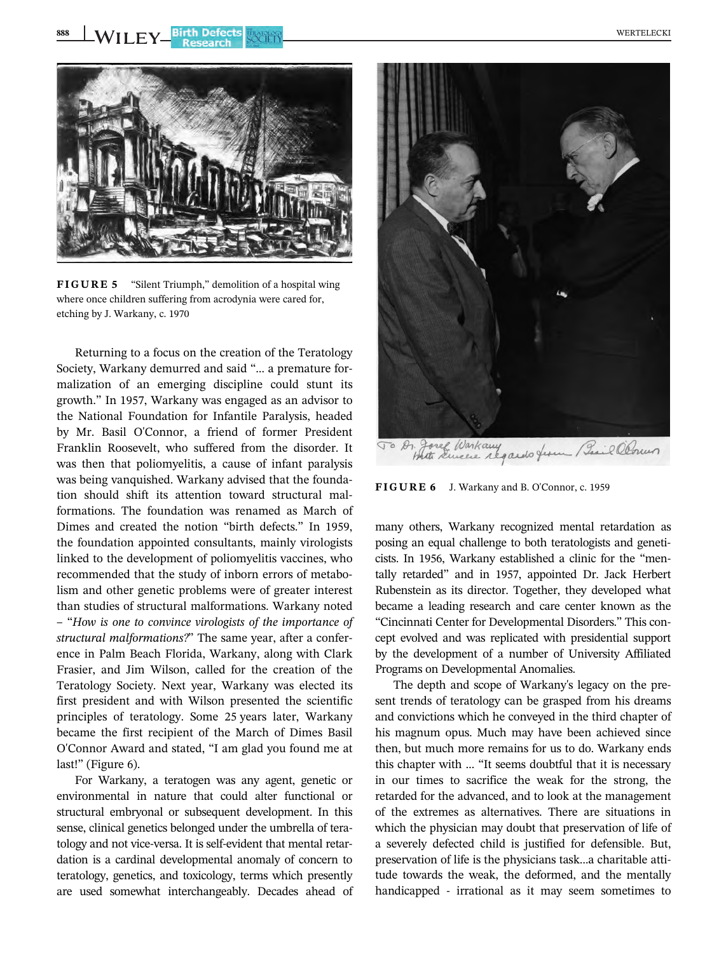

FIGURE 5 "Silent Triumph," demolition of a hospital wing where once children suffering from acrodynia were cared for, etching by J. Warkany, c. 1970

Returning to a focus on the creation of the Teratology Society, Warkany demurred and said "… a premature formalization of an emerging discipline could stunt its growth." In 1957, Warkany was engaged as an advisor to the National Foundation for Infantile Paralysis, headed by Mr. Basil O'Connor, a friend of former President Franklin Roosevelt, who suffered from the disorder. It was then that poliomyelitis, a cause of infant paralysis was being vanquished. Warkany advised that the foundation should shift its attention toward structural malformations. The foundation was renamed as March of Dimes and created the notion "birth defects." In 1959, the foundation appointed consultants, mainly virologists linked to the development of poliomyelitis vaccines, who recommended that the study of inborn errors of metabolism and other genetic problems were of greater interest than studies of structural malformations. Warkany noted – "How is one to convince virologists of the importance of structural malformations?" The same year, after a conference in Palm Beach Florida, Warkany, along with Clark Frasier, and Jim Wilson, called for the creation of the Teratology Society. Next year, Warkany was elected its first president and with Wilson presented the scientific principles of teratology. Some 25 years later, Warkany became the first recipient of the March of Dimes Basil O'Connor Award and stated, "I am glad you found me at last!" (Figure 6).

For Warkany, a teratogen was any agent, genetic or environmental in nature that could alter functional or structural embryonal or subsequent development. In this sense, clinical genetics belonged under the umbrella of teratology and not vice-versa. It is self-evident that mental retardation is a cardinal developmental anomaly of concern to teratology, genetics, and toxicology, terms which presently are used somewhat interchangeably. Decades ahead of



FIGURE 6 J. Warkany and B. O'Connor, c. 1959

many others, Warkany recognized mental retardation as posing an equal challenge to both teratologists and geneticists. In 1956, Warkany established a clinic for the "mentally retarded" and in 1957, appointed Dr. Jack Herbert Rubenstein as its director. Together, they developed what became a leading research and care center known as the "Cincinnati Center for Developmental Disorders." This concept evolved and was replicated with presidential support by the development of a number of University Affiliated Programs on Developmental Anomalies.

The depth and scope of Warkany's legacy on the present trends of teratology can be grasped from his dreams and convictions which he conveyed in the third chapter of his magnum opus. Much may have been achieved since then, but much more remains for us to do. Warkany ends this chapter with … "It seems doubtful that it is necessary in our times to sacrifice the weak for the strong, the retarded for the advanced, and to look at the management of the extremes as alternatives. There are situations in which the physician may doubt that preservation of life of a severely defected child is justified for defensible. But, preservation of life is the physicians task…a charitable attitude towards the weak, the deformed, and the mentally handicapped - irrational as it may seem sometimes to